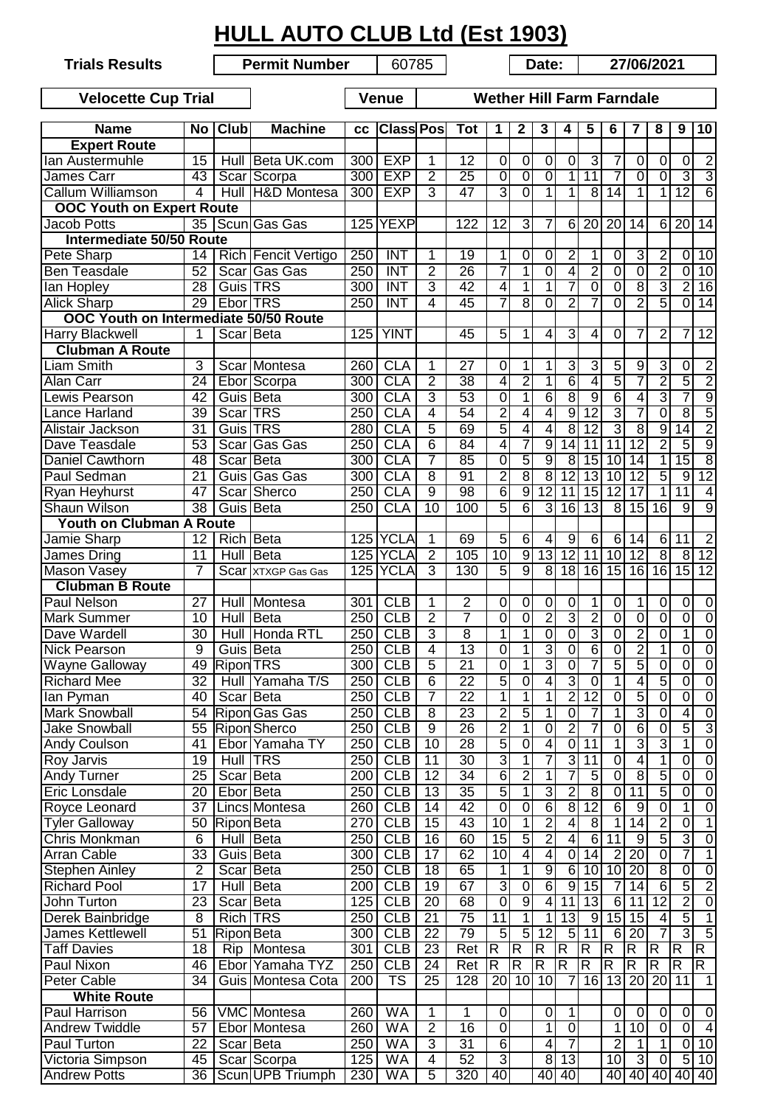|                                                                                |                 |                   | <b>HULL AUTO CLUB Ltd (Est 1903)</b> |           |                          |                      |                 |                         |                         |                         |                         |                         |                         |                         |                                 |                         |                                  |
|--------------------------------------------------------------------------------|-----------------|-------------------|--------------------------------------|-----------|--------------------------|----------------------|-----------------|-------------------------|-------------------------|-------------------------|-------------------------|-------------------------|-------------------------|-------------------------|---------------------------------|-------------------------|----------------------------------|
| <b>Trials Results</b>                                                          |                 |                   | <b>Permit Number</b>                 |           | 60785                    |                      |                 |                         |                         | Date:                   |                         |                         |                         | 27/06/2021              |                                 |                         |                                  |
| <b>Wether Hill Farm Farndale</b><br><b>Velocette Cup Trial</b><br><b>Venue</b> |                 |                   |                                      |           |                          |                      |                 |                         |                         |                         |                         |                         |                         |                         |                                 |                         |                                  |
| <b>Name</b>                                                                    |                 | No Club           | <b>Machine</b>                       | <b>CC</b> | <b>Class Pos</b>         |                      | <b>Tot</b>      | 1                       | $\mathbf{2}$            | 3                       | 4                       | 5                       | 6                       | 7                       | 8                               | 9                       | 10                               |
| <b>Expert Route</b>                                                            |                 |                   |                                      |           |                          |                      |                 |                         |                         |                         |                         |                         |                         |                         |                                 |                         |                                  |
| lan Austermuhle                                                                | 15              |                   | Hull Beta UK.com                     | 300       | <b>EXP</b>               | 1                    | 12              | 0                       | 0                       | $\mathbf 0$             | 0                       | 3                       | 7                       | 0                       | 0                               | $\mathbf 0$             | $\overline{2}$                   |
| James Carr                                                                     | 43              |                   | Scar Scorpa                          | 300       | <b>EXP</b>               | $\overline{2}$       | $\overline{25}$ | $\mathbf 0$             | 0                       | $\overline{0}$          | $\mathbf{1}$            | 11                      | 7                       | $\mathbf 0$             | $\overline{0}$                  | $\overline{3}$          | $\overline{3}$                   |
| <b>Callum Williamson</b>                                                       | $\overline{4}$  |                   | Hull H&D Montesa                     | 300       | <b>EXP</b>               | 3                    | 47              | 3                       | $\overline{0}$          | 1                       | 1                       | 8                       | $\overline{14}$         | $\mathbf{1}$            | $\mathbf{1}$                    | $\overline{12}$         | $\overline{6}$                   |
| <b>OOC Youth on Expert Route</b>                                               |                 |                   |                                      |           |                          |                      |                 |                         |                         |                         |                         |                         |                         |                         |                                 |                         |                                  |
| <b>Jacob Potts</b>                                                             |                 |                   | 35 Scun Gas Gas                      |           | 125 YEXP                 |                      | 122             | $\overline{12}$         | 3                       | 7                       | 6                       | $\overline{20}$         | 20                      | 14                      | $\overline{\sigma}$             | 20                      | 14                               |
| Intermediate 50/50 Route                                                       |                 |                   |                                      |           |                          |                      |                 |                         |                         |                         |                         |                         |                         |                         |                                 |                         |                                  |
| Pete Sharp                                                                     | 14              |                   | Rich Fencit Vertigo                  | 250       | <b>INT</b>               | 1                    | 19              | 1                       | 0                       | $\pmb{0}$               | $\overline{2}$          | 1                       | $\boldsymbol{0}$        | 3                       | $\overline{2}$                  | $\mathbf 0$             | 10                               |
| <b>Ben Teasdale</b>                                                            | 52              |                   | Scar Gas Gas                         | 250       | <b>INT</b>               | $\overline{2}$       | $\overline{26}$ | 7                       | 1                       | $\overline{0}$          | $\overline{4}$          | $\overline{2}$          | $\overline{0}$          | $\overline{0}$          | $\overline{2}$                  | $\pmb{0}$               | 10                               |
| lan Hopley                                                                     | $\overline{28}$ | Guis TRS          |                                      | 300       | <b>INT</b>               | $\overline{3}$       | $\overline{42}$ | 4                       | 1                       | 1                       | 7                       | $\overline{0}$          | $\overline{0}$          | $\overline{8}$          | $\overline{3}$                  | $\overline{2}$          | 16                               |
| <b>Alick Sharp</b>                                                             | $\overline{29}$ | Ebor TRS          |                                      | 250       | <b>INT</b>               | 4                    | 45              | 7                       | $\overline{8}$          | $\mathbf 0$             | $\overline{2}$          | 7                       | $\overline{0}$          | $\overline{2}$          | $\overline{5}$                  | $\overline{0}$          | $\overline{14}$                  |
| OOC Youth on Intermediate 50/50 Route                                          |                 |                   |                                      |           |                          |                      |                 |                         |                         |                         |                         |                         |                         |                         |                                 |                         |                                  |
| Harry Blackwell                                                                | 1               | Scar Beta         |                                      | 125       | <b>YINT</b>              |                      | 45              | 5                       | 1                       | 4                       | $\overline{3}$          | 4                       | 0                       | 7                       | $\overline{2}$                  | 7                       | $\overline{12}$                  |
| <b>Clubman A Route</b>                                                         |                 |                   |                                      |           |                          |                      |                 |                         |                         |                         |                         |                         |                         |                         |                                 |                         |                                  |
| Liam Smith                                                                     | 3               |                   | Scar Montesa                         | 260       | <b>CLA</b>               | 1                    | 27              | $\mathbf 0$             | 1                       | 1                       | 3                       | 3                       | $\overline{5}$          | $\overline{9}$          | 3                               | 0                       | $\overline{2}$                   |
| <b>Alan Carr</b>                                                               | $\overline{24}$ |                   | Ebor Scorpa                          | 300       | <b>CLA</b>               | $\overline{2}$       | $\overline{38}$ | 4                       | $\overline{2}$          | 1                       | $\overline{6}$          | $\overline{4}$          | $\overline{5}$          | 7                       | $\overline{2}$                  | $\overline{5}$          | $\overline{2}$                   |
| Lewis Pearson                                                                  | 42              | Guis Beta         |                                      | 300       | <b>CLA</b>               | $\overline{3}$       | 53              | $\overline{0}$          | 1                       | $\overline{6}$          | $\overline{8}$          | $\overline{9}$          | $\overline{6}$          | 4                       | 3                               | 7                       | $\overline{9}$                   |
| Lance Harland                                                                  | 39              | Scar TRS          |                                      | 250       | <b>CLA</b>               | $\overline{4}$       | $\overline{54}$ | $\overline{2}$          | 4                       | $\overline{\mathbf{4}}$ | 9                       | $\overline{12}$         | $\overline{3}$          | $\overline{7}$          | $\overline{0}$                  | $\overline{8}$          | $\overline{5}$                   |
| Alistair Jackson                                                               | $\overline{31}$ | Guis <b>TRS</b>   |                                      | 280       | <b>CLA</b>               | 5                    | 69              | $\overline{5}$          | 4                       | 4                       | 8                       | $\overline{12}$         | $\overline{3}$          | $\overline{8}$          | $\overline{9}$                  | $\overline{14}$         | $\overline{2}$                   |
| Dave Teasdale                                                                  | $\overline{53}$ | Scar              | <b>Gas Gas</b>                       | 250       | <b>CLA</b>               | 6                    | $\overline{84}$ | 4                       | 7                       | $\overline{9}$          | 14                      | 11                      | 11                      | $\overline{12}$         | $\overline{2}$                  | $\overline{5}$          | $\overline{9}$                   |
| Daniel Cawthorn                                                                | 48              | Scar Beta         |                                      | 300       | <b>CLA</b>               | 7                    | 85              | $\overline{0}$          | $\overline{5}$          | $\overline{9}$          | $\infty$                | $\overline{15}$         | 10                      | 14                      | $\overline{1}$                  | 15                      | $\overline{8}$                   |
| Paul Sedman                                                                    | 21              |                   | Guis Gas Gas                         | 300       | <b>CLA</b>               | $\overline{8}$       | 91              | $\overline{2}$          | $\overline{8}$          | $\overline{8}$          | 12                      | $\overline{13}$         | 10                      | $\overline{12}$         | $\overline{5}$                  | $\overline{9}$          | 12                               |
| Ryan Heyhurst                                                                  | 47              |                   | Scar Sherco                          | 250       | <b>CLA</b><br><b>CLA</b> | $\overline{9}$<br>10 | $\overline{98}$ | 6<br>5                  | $\overline{9}$          | $\overline{12}$         | 11                      | $\overline{15}$         | $\overline{12}$         | $\overline{17}$         | $\mathbf{1}$<br>$\overline{16}$ | 11<br>$\overline{9}$    | $\overline{4}$<br>$\overline{9}$ |
| Shaun Wilson                                                                   | $\overline{38}$ | Guis Beta         |                                      | 250       |                          |                      | 100             |                         | $\overline{6}$          | 3                       | 16                      | $\overline{13}$         | $\overline{\infty}$     | $\overline{15}$         |                                 |                         |                                  |
| <b>Youth on Clubman A Route</b>                                                | 12              | <b>Rich Beta</b>  |                                      |           | 125 YCLA                 |                      | 69              |                         | 6                       |                         | 9                       | 6                       | $6 \mid$                | 14                      |                                 | 11                      | $\overline{2}$                   |
| Jamie Sharp<br>James Dring                                                     | 11              |                   | Hull Beta                            |           | 125 YCLA                 | 1<br>$\overline{2}$  | 105             | 5<br>10                 | 9                       | 4<br>13                 | 12                      | 11                      | 10                      | $\overline{12}$         | 6<br>$\overline{8}$             | 8                       | 12                               |
| Mason Vasey                                                                    | 7               |                   | Scar XTXGP Gas Gas                   |           | 125 YCLA                 | 3                    | 130             | $\overline{5}$          | $\overline{9}$          | 8                       | 18                      | $\overline{16}$         | 15                      | 16                      | $\overline{16}$                 | 15                      | $\overline{12}$                  |
| <b>Clubman B Route</b>                                                         |                 |                   |                                      |           |                          |                      |                 |                         |                         |                         |                         |                         |                         |                         |                                 |                         |                                  |
| Paul Nelson                                                                    | 27              |                   | Hull Montesa                         | 301       | CLB                      | 1                    | $\overline{2}$  | 0                       | 0                       | $\pmb{0}$               | 0                       | 1                       | $\pmb{0}$               | 1                       | 0                               | 0                       | $\overline{0}$                   |
| Mark Summer                                                                    | 10              |                   | Hull Beta                            |           | 250   CLB                | 2                    |                 | 0                       | $\overline{0}$          | 2                       | 3                       | 2                       | 0                       | $\Omega$                | 0                               | 0                       | $\mathbf 0$                      |
| Dave Wardell                                                                   | 30              |                   | Hull Honda RTL                       | 250       | CLB                      | 3                    | 7<br>8          | 1                       | 1                       | $\overline{0}$          | $\overline{0}$          | $\overline{3}$          | $\overline{0}$          | $\overline{2}$          | 0                               | 1                       | $\overline{0}$                   |
| <b>Nick Pearson</b>                                                            | 9               | Guis Beta         |                                      | 250       | CLB                      | 4                    | $\overline{13}$ | $\mathbf 0$             | 1                       | $\overline{3}$          | $\overline{0}$          | $\overline{6}$          | $\overline{0}$          | $\overline{2}$          | 1                               | 0                       | $\overline{0}$                   |
| Wayne Galloway                                                                 | 49              | <b>Ripon TRS</b>  |                                      | 300       | CLB                      | 5                    | $\overline{21}$ | 0                       | $\overline{1}$          | $\overline{3}$          | $\overline{0}$          | 7                       | $\overline{5}$          | 5                       | 0                               | 0                       | $\overline{0}$                   |
| <b>Richard Mee</b>                                                             | 32              | Hull              | Yamaha T/S                           | 250       | CLB                      | 6                    | $\overline{22}$ | 5                       | 0                       | 4                       | $\overline{3}$          | 0                       | $\overline{1}$          | $\overline{4}$          | 5                               | $\overline{0}$          | $\overline{0}$                   |
| lan Pyman                                                                      | 40              |                   | Scar Beta                            | 250       | CLB                      | 7                    | $\overline{22}$ | 1                       | 1                       | 1                       | $\overline{2}$          | $\overline{12}$         | $\overline{0}$          | $\overline{5}$          | $\overline{0}$                  | $\overline{0}$          | $\overline{0}$                   |
| <b>Mark Snowball</b>                                                           | 54              |                   | <b>Ripon</b> Gas Gas                 | 250       | CLB                      | $\overline{8}$       | 23              | $\overline{2}$          | 5                       | 1                       | $\overline{0}$          | 7                       | $\overline{1}$          | 3                       | $\overline{0}$                  | 4                       | $\overline{0}$                   |
| <b>Jake Snowball</b>                                                           | 55              |                   | <b>Ripon</b> Sherco                  | 250       | CLB                      | $\overline{9}$       | 26              | $\overline{2}$          | 1                       | $\overline{0}$          | $\overline{2}$          | 7                       | $\overline{0}$          | $\overline{6}$          | $\overline{0}$                  | $\overline{5}$          | 3                                |
| <b>Andy Coulson</b>                                                            | 41              |                   | Ebor Yamaha TY                       | 250       | CLB                      | $\overline{10}$      | 28              | 5                       | $\overline{0}$          | 4                       | $\overline{0}$          | $\overline{11}$         | $\overline{1}$          | 3                       | 3                               | 1                       | $\overline{0}$                   |
| <b>Roy Jarvis</b>                                                              | $\overline{19}$ |                   | <b>Hull TRS</b>                      | 250       | CLB                      | $\overline{11}$      | 30              | 3                       | 1                       | 7                       | $\overline{3}$          | $\overline{11}$         | $\overline{0}$          | 4                       | 1                               | $\overline{0}$          | $\overline{0}$                   |
| <b>Andy Turner</b>                                                             | $\overline{25}$ |                   | Scar Beta                            | 200       | CLB                      | $\overline{12}$      | $\overline{34}$ | $\overline{6}$          | $\overline{2}$          | 1                       | 7                       | $\overline{5}$          | $\overline{0}$          | $\overline{8}$          | 5                               | $\overline{0}$          | $\overline{0}$                   |
| <b>Eric Lonsdale</b>                                                           | 20              | Ebor Beta         |                                      | 250       | CLB                      | 13                   | 35              | 5                       | 1                       | $\overline{3}$          | $\overline{2}$          | $\overline{8}$          | $\overline{0}$          | $\overline{11}$         | 5                               | $\overline{0}$          | $\overline{0}$                   |
| Royce Leonard                                                                  | $\overline{37}$ |                   | Lincs Montesa                        | 260       | CLB                      | 14                   | 42              | 0                       | $\overline{0}$          | $\overline{6}$          | 8                       | 12                      | $\overline{6}$          | $\overline{9}$          | $\overline{0}$                  | 1                       | $\overline{0}$                   |
| <b>Tyler Galloway</b>                                                          | 50              | <b>Ripon</b> Beta |                                      | 270       | CLB                      | 15                   | 43              | 10                      | 1                       | $\overline{2}$          | 4                       | $\overline{8}$          | $\overline{1}$          | $\overline{14}$         | $\overline{2}$                  | $\overline{0}$          | 1                                |
| Chris Monkman                                                                  | $\overline{6}$  |                   | <b>Hull Beta</b>                     | 250       | CLB                      | 16                   | 60              | $\overline{15}$         | 5                       | $\overline{2}$          | 4                       | $\overline{6}$          | 11                      | $\overline{9}$          | 5                               | 3                       | $\overline{0}$                   |
| <b>Arran Cable</b>                                                             | 33              |                   | Guis Beta                            | 300       | CLB                      | $\overline{17}$      | 62              | $\overline{10}$         | 4                       | 4                       | $\overline{\mathsf{o}}$ | 14                      | $\overline{2}$          | $\overline{20}$         | $\overline{0}$                  | 7                       | 1                                |
| <b>Stephen Ainley</b>                                                          | $\overline{2}$  |                   | Scar Beta                            | 250       | CLB                      | $\overline{18}$      | 65              | 1                       | 1                       | $\overline{9}$          | 6                       | $\overline{10}$         | 10                      | $\overline{20}$         | $\overline{8}$                  | 0                       | $\overline{0}$                   |
| <b>Richard Pool</b>                                                            | $\overline{17}$ |                   | Hull Beta                            | 200       | CLB                      | 19                   | 67              | 3                       | $\overline{0}$          | 6                       | $\overline{9}$          | $\overline{15}$         | 7                       | 14                      | 6                               | 5                       | $\overline{2}$                   |
| John Turton                                                                    | 23              |                   | Scar Beta                            | 125       | CLB                      | $\overline{20}$      | 68              | $\Omega$                | 9                       | 4                       | 11                      | $\overline{13}$         | 6                       | 11                      | $\overline{12}$                 | $\overline{2}$          | $\overline{0}$                   |
| Derek Bainbridge                                                               | $\overline{8}$  |                   | <b>Rich TRS</b>                      | 250       | CLB                      | 21                   | $\overline{75}$ | $\overline{11}$         | 1                       | 1                       | 13                      | $\overline{9}$          | 15                      | $\overline{15}$         | 4                               | $\overline{5}$          | 1                                |
| <b>James Kettlewell</b>                                                        | $\overline{51}$ | <b>Ripon</b> Beta |                                      | 300       | CLB                      | $\overline{22}$      | 79              | 5                       | 5                       | $\overline{12}$         | 5                       | 11                      | $6 \overline{6}$        | $\overline{20}$         | 7                               | 3                       | $\overline{5}$                   |
| <b>Taff Davies</b>                                                             | $\overline{18}$ | Rip               | Montesa                              | 301       | CLB                      | $\overline{23}$      | Ret             | $\overline{\mathsf{R}}$ | $\overline{\mathsf{R}}$ | $\overline{\mathsf{R}}$ | $\overline{\mathsf{R}}$ | $\overline{\mathsf{R}}$ | $\overline{\mathsf{R}}$ | $\overline{\mathsf{R}}$ | $\overline{\mathsf{R}}$         | R                       | $\overline{\mathsf{R}}$          |
| <b>Paul Nixon</b>                                                              | 46              |                   | Ebor Yamaha TYZ                      | 250       | CLB                      | 24                   | Ret             | R                       | $\overline{\mathsf{R}}$ | $\overline{\mathsf{R}}$ | R                       | R                       | R                       | $\overline{\mathsf{R}}$ | $\overline{\mathsf{R}}$         | $\overline{\mathsf{R}}$ | R                                |
| <b>Peter Cable</b>                                                             | 34              |                   | Guis Montesa Cota                    | 200       | TS                       | $\overline{25}$      | 128             | 20                      | 10                      | 10                      | 7                       | $\overline{16}$         | 13                      | $\overline{20}$         | $\overline{20}$                 | $\overline{11}$         | $\overline{1}$                   |
| <b>White Route</b>                                                             |                 |                   |                                      |           |                          |                      |                 |                         |                         |                         |                         |                         |                         |                         |                                 |                         |                                  |
| Paul Harrison                                                                  | 56              |                   | VMC Montesa                          | 260       | <b>WA</b>                | 1                    | 1               | 0                       |                         | 0                       | 1                       |                         | 0                       | 0                       | 0                               | 0                       | $\mathbf 0$                      |
| <b>Andrew Twiddle</b>                                                          | 57              |                   | Ebor Montesa                         | 260       | <b>WA</b>                | $\overline{2}$       | 16              | $\overline{0}$          |                         | 1                       | $\overline{0}$          |                         | 1                       | 10                      | $\overline{0}$                  | $\overline{\mathsf{o}}$ | $\overline{4}$                   |
| Paul Turton                                                                    | 22              | Scar Beta         |                                      | 250       | WA                       | 3                    | $\overline{31}$ | $\overline{6}$          |                         | 4                       | 7                       |                         | $\overline{2}$          | $\mathbf{1}$            | 1                               | $\mathbf 0$             | 10                               |
| Victoria Simpson                                                               | 45              |                   | Scar Scorpa                          | 125       | <b>WA</b>                | 4                    | 52              | $\overline{3}$          |                         | 8                       | 13                      |                         | 10                      | دن                      | $\pmb{0}$                       | $\overline{5}$          | 10                               |
| <b>Andrew Potts</b>                                                            | 36              |                   | Scun UPB Triumph                     | 230       | <b>WA</b>                | $\overline{5}$       | 320             | 40                      |                         | 40                      | $\overline{40}$         |                         | 40                      | 40                      | 40                              |                         | 40 40                            |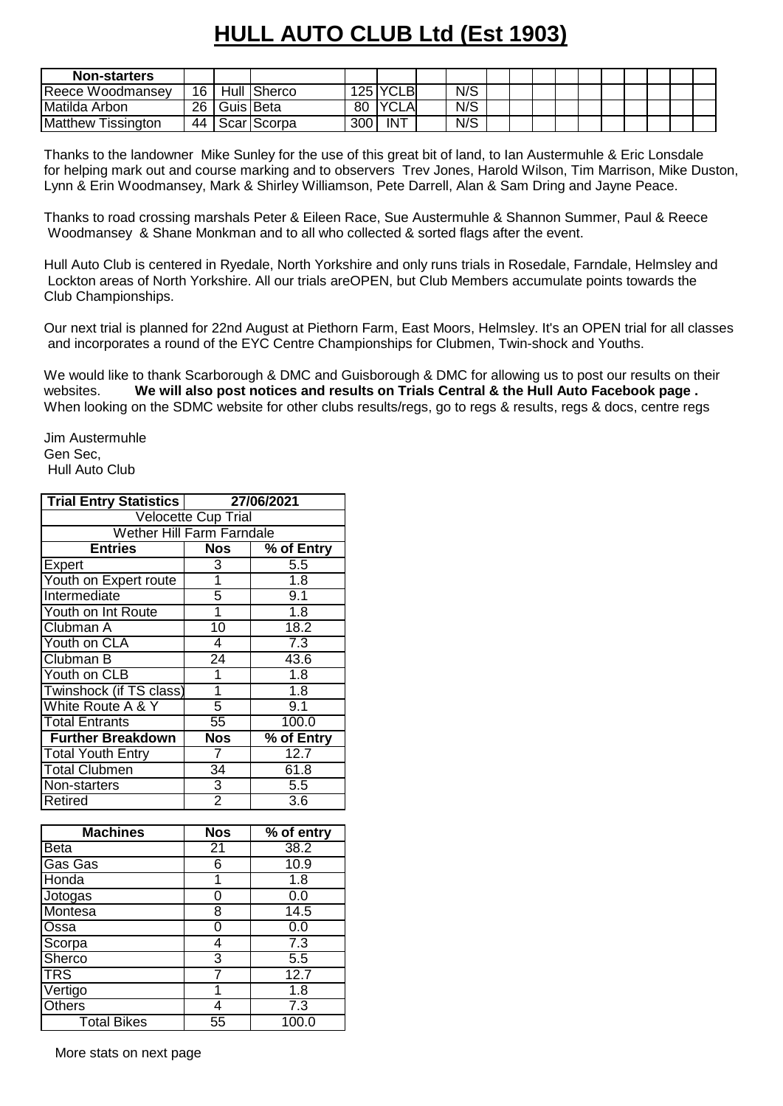## **HULL AUTO CLUB Ltd (Est 1903)**

| <b>Non-starters</b>          |      |           |             |     |              |     |  |  |  |  |  |
|------------------------------|------|-----------|-------------|-----|--------------|-----|--|--|--|--|--|
| Reece Woodmansey             | 16 I |           | Hull Sherco |     | 125 YCLB     | N/S |  |  |  |  |  |
| Matilda Arbon                | 26 I | Guis Beta |             | 80  | <b>IYCLA</b> | N/S |  |  |  |  |  |
| <b>Matthew</b><br>Tissington | 44   |           | Scar Scorpa | 300 | <b>INT</b>   | N/S |  |  |  |  |  |

Thanks to the landowner Mike Sunley for the use of this great bit of land, to Ian Austermuhle & Eric Lonsdale for helping mark out and course marking and to observers Trev Jones, Harold Wilson, Tim Marrison, Mike Duston, Lynn & Erin Woodmansey, Mark & Shirley Williamson, Pete Darrell, Alan & Sam Dring and Jayne Peace.

Thanks to road crossing marshals Peter & Eileen Race, Sue Austermuhle & Shannon Summer, Paul & Reece Woodmansey & Shane Monkman and to all who collected & sorted flags after the event.

Hull Auto Club is centered in Ryedale, North Yorkshire and only runs trials in Rosedale, Farndale, Helmsley and Lockton areas of North Yorkshire. All our trials areOPEN, but Club Members accumulate points towards the Club Championships.

Our next trial is planned for 22nd August at Piethorn Farm, East Moors, Helmsley. It's an OPEN trial for all classes and incorporates a round of the EYC Centre Championships for Clubmen, Twin-shock and Youths.

We would like to thank Scarborough & DMC and Guisborough & DMC for allowing us to post our results on their websites. **We will also post notices and results on Trials Central & the Hull Auto Facebook page .** When looking on the SDMC website for other clubs results/regs, go to regs & results, regs & docs, centre regs

Jim Austermuhle Gen Sec, Hull Auto Club

| <b>Trial Entry Statistics</b>    | 27/06/2021          |                  |  |  |  |  |  |  |  |  |
|----------------------------------|---------------------|------------------|--|--|--|--|--|--|--|--|
|                                  | Velocette Cup Trial |                  |  |  |  |  |  |  |  |  |
| <b>Wether Hill Farm Farndale</b> |                     |                  |  |  |  |  |  |  |  |  |
| <b>Entries</b>                   | <b>Nos</b>          | % of Entry       |  |  |  |  |  |  |  |  |
| Expert                           | 3                   | 5.5              |  |  |  |  |  |  |  |  |
| Youth on Expert route            | 1                   | $\overline{1.8}$ |  |  |  |  |  |  |  |  |
| Intermediate                     | 5                   | 9.1              |  |  |  |  |  |  |  |  |
| Youth on Int Route               | 1                   | 1.8              |  |  |  |  |  |  |  |  |
| Clubman A                        | $\overline{10}$     | 18.2             |  |  |  |  |  |  |  |  |
| Youth on CLA                     | 4                   | $\overline{7.3}$ |  |  |  |  |  |  |  |  |
| Clubman B                        | $\overline{24}$     | 43.6             |  |  |  |  |  |  |  |  |
| Youth on CLB                     | 1                   | 1.8              |  |  |  |  |  |  |  |  |
| Twinshock (if TS class)          | 1                   | $\overline{1.8}$ |  |  |  |  |  |  |  |  |
| White Route A & Y                | 5                   | 9.1              |  |  |  |  |  |  |  |  |
| <b>Total Entrants</b>            | $\overline{55}$     | 100.0            |  |  |  |  |  |  |  |  |
| <b>Further Breakdown</b>         | <b>Nos</b>          | % of Entry       |  |  |  |  |  |  |  |  |
| <b>Total Youth Entry</b>         | 7                   | 12.7             |  |  |  |  |  |  |  |  |
| <b>Total Clubmen</b>             | $\overline{34}$     | 61.8             |  |  |  |  |  |  |  |  |
| Non-starters                     | $\overline{3}$      | $\overline{5.5}$ |  |  |  |  |  |  |  |  |
| Retired                          | $\overline{2}$      | $\overline{3.6}$ |  |  |  |  |  |  |  |  |
|                                  |                     |                  |  |  |  |  |  |  |  |  |
| <b>Machines</b>                  | <b>Nos</b>          | % of entry       |  |  |  |  |  |  |  |  |
| <b>Beta</b>                      | $\overline{21}$     | 38.2             |  |  |  |  |  |  |  |  |
| Gas Gas                          | 6                   | 10.9             |  |  |  |  |  |  |  |  |
| Honda                            | 1                   | 1.8              |  |  |  |  |  |  |  |  |
| Jotogas                          | $\overline{0}$      | 0.0              |  |  |  |  |  |  |  |  |
| $\overline{a}$                   |                     | $\cdots$         |  |  |  |  |  |  |  |  |

| Montesa            |    | 14.5  |
|--------------------|----|-------|
| Ossa               |    | 0.0   |
| Scorpa             |    | 7.3   |
| Sherco             | 3  | 5.5   |
| <b>TRS</b>         |    | 12.7  |
| Vertigo            |    | 1.8   |
| <b>Others</b>      |    | 7.3   |
| <b>Total Bikes</b> | 55 | 100.0 |

More stats on next page